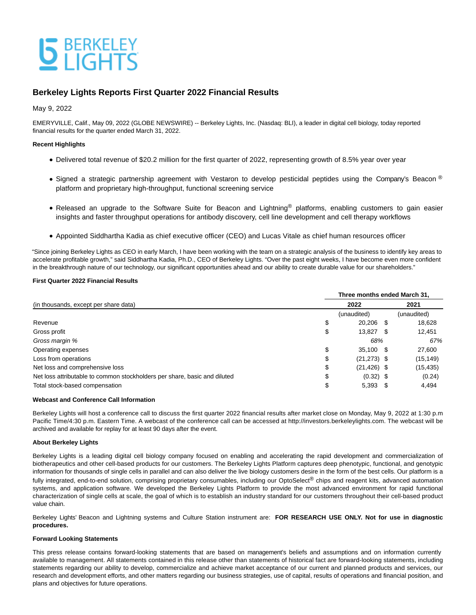# **S** BERKELEY

### **Berkeley Lights Reports First Quarter 2022 Financial Results**

May 9, 2022

EMERYVILLE, Calif., May 09, 2022 (GLOBE NEWSWIRE) -- Berkeley Lights, Inc. (Nasdaq: BLI), a leader in digital cell biology, today reported financial results for the quarter ended March 31, 2022.

#### **Recent Highlights**

- Delivered total revenue of \$20.2 million for the first quarter of 2022, representing growth of 8.5% year over year
- Signed a strategic partnership agreement with Vestaron to develop pesticidal peptides using the Company's Beacon ® platform and proprietary high-throughput, functional screening service
- Released an upgrade to the Software Suite for Beacon and Lightning<sup>®</sup> platforms, enabling customers to gain easier insights and faster throughput operations for antibody discovery, cell line development and cell therapy workflows
- Appointed Siddhartha Kadia as chief executive officer (CEO) and Lucas Vitale as chief human resources officer

"Since joining Berkeley Lights as CEO in early March, I have been working with the team on a strategic analysis of the business to identify key areas to accelerate profitable growth," said Siddhartha Kadia, Ph.D., CEO of Berkeley Lights. "Over the past eight weeks, I have become even more confident in the breakthrough nature of our technology, our significant opportunities ahead and our ability to create durable value for our shareholders."

#### **First Quarter 2022 Financial Results**

|                                                                           | Three months ended March 31, |                |      |             |  |
|---------------------------------------------------------------------------|------------------------------|----------------|------|-------------|--|
| (in thousands, except per share data)                                     | 2022                         |                |      | 2021        |  |
|                                                                           |                              | (unaudited)    |      | (unaudited) |  |
| Revenue                                                                   | \$                           | 20.206         | - \$ | 18,628      |  |
| Gross profit                                                              | \$                           | 13,827         | - \$ | 12,451      |  |
| Gross margin %                                                            |                              | 68%            |      | 67%         |  |
| Operating expenses                                                        | \$                           | 35,100 \$      |      | 27,600      |  |
| Loss from operations                                                      | \$                           | $(21, 273)$ \$ |      | (15,149)    |  |
| Net loss and comprehensive loss                                           | \$                           | $(21, 426)$ \$ |      | (15,435)    |  |
| Net loss attributable to common stockholders per share, basic and diluted | \$                           | $(0.32)$ \$    |      | (0.24)      |  |
| Total stock-based compensation                                            | \$                           | $5,393$ \$     |      | 4,494       |  |

#### **Webcast and Conference Call Information**

Berkeley Lights will host a conference call to discuss the first quarter 2022 financial results after market close on Monday, May 9, 2022 at 1:30 p.m Pacific Time/4:30 p.m. Eastern Time. A webcast of the conference call can be accessed at http://investors.berkeleylights.com. The webcast will be archived and available for replay for at least 90 days after the event.

#### **About Berkeley Lights**

Berkeley Lights is a leading digital cell biology company focused on enabling and accelerating the rapid development and commercialization of biotherapeutics and other cell-based products for our customers. The Berkeley Lights Platform captures deep phenotypic, functional, and genotypic information for thousands of single cells in parallel and can also deliver the live biology customers desire in the form of the best cells. Our platform is a fully integrated, end-to-end solution, comprising proprietary consumables, including our OptoSelect® chips and reagent kits, advanced automation systems, and application software. We developed the Berkeley Lights Platform to provide the most advanced environment for rapid functional characterization of single cells at scale, the goal of which is to establish an industry standard for our customers throughout their cell-based product value chain.

Berkeley Lights' Beacon and Lightning systems and Culture Station instrument are: **FOR RESEARCH USE ONLY. Not for use in diagnostic procedures.**

#### **Forward Looking Statements**

This press release contains forward-looking statements that are based on management's beliefs and assumptions and on information currently available to management. All statements contained in this release other than statements of historical fact are forward-looking statements, including statements regarding our ability to develop, commercialize and achieve market acceptance of our current and planned products and services, our research and development efforts, and other matters regarding our business strategies, use of capital, results of operations and financial position, and plans and objectives for future operations.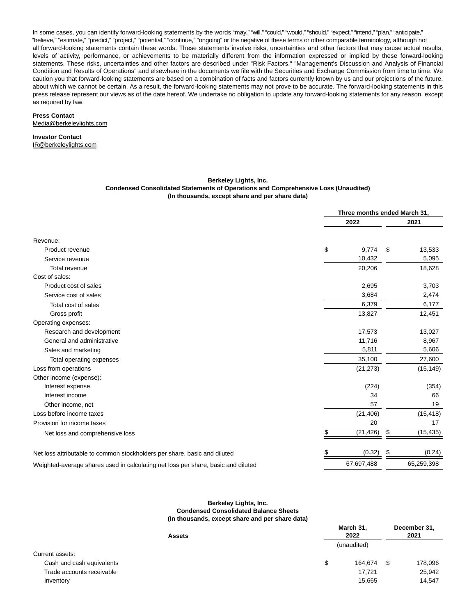In some cases, you can identify forward-looking statements by the words "may," "will," "could," "would," "should," "expect," "intend," "plan," "anticipate," "believe," "estimate," "predict," "project," "potential," "continue," "ongoing" or the negative of these terms or other comparable terminology, although not all forward-looking statements contain these words. These statements involve risks, uncertainties and other factors that may cause actual results, levels of activity, performance, or achievements to be materially different from the information expressed or implied by these forward-looking statements. These risks, uncertainties and other factors are described under "Risk Factors," "Management's Discussion and Analysis of Financial Condition and Results of Operations" and elsewhere in the documents we file with the Securities and Exchange Commission from time to time. We caution you that forward-looking statements are based on a combination of facts and factors currently known by us and our projections of the future, about which we cannot be certain. As a result, the forward-looking statements may not prove to be accurate. The forward-looking statements in this press release represent our views as of the date hereof. We undertake no obligation to update any forward-looking statements for any reason, except as required by law.

## **Press Contact**

Media@berkeleylights.com

#### **Investor Contact** IR@berkeleylights.com

#### **Berkeley Lights, Inc. Condensed Consolidated Statements of Operations and Comprehensive Loss (Unaudited) (In thousands, except share and per share data)**

| 2022<br>2021<br>Revenue:<br>\$<br>9,774<br>13,533<br>\$<br>Product revenue<br>10,432<br>5,095<br>Service revenue<br>20,206<br>18,628<br>Total revenue<br>Cost of sales:<br>Product cost of sales<br>2,695<br>3,703<br>3,684<br>2,474<br>Service cost of sales<br>6,379<br>6,177<br>Total cost of sales<br>Gross profit<br>13,827<br>12,451<br>Operating expenses:<br>Research and development<br>13,027<br>17,573<br>General and administrative<br>11,716<br>8,967<br>5,811<br>5,606<br>Sales and marketing<br>35,100<br>27,600<br>Total operating expenses<br>Loss from operations<br>(21, 273)<br>(15, 149)<br>Other income (expense):<br>(224)<br>(354)<br>Interest expense<br>Interest income<br>34<br>66<br>57<br>19<br>Other income, net<br>Loss before income taxes<br>(21, 406)<br>(15, 418)<br>20<br>17<br>Provision for income taxes<br>(21, 426)<br>\$<br>(15, 435)<br>\$<br>Net loss and comprehensive loss<br>(0.32)<br>(0.24)<br>S<br>Net loss attributable to common stockholders per share, basic and diluted<br>67,697,488<br>65,259,398<br>Weighted-average shares used in calculating net loss per share, basic and diluted |  | Three months ended March 31, |  |  |
|------------------------------------------------------------------------------------------------------------------------------------------------------------------------------------------------------------------------------------------------------------------------------------------------------------------------------------------------------------------------------------------------------------------------------------------------------------------------------------------------------------------------------------------------------------------------------------------------------------------------------------------------------------------------------------------------------------------------------------------------------------------------------------------------------------------------------------------------------------------------------------------------------------------------------------------------------------------------------------------------------------------------------------------------------------------------------------------------------------------------------------------------|--|------------------------------|--|--|
|                                                                                                                                                                                                                                                                                                                                                                                                                                                                                                                                                                                                                                                                                                                                                                                                                                                                                                                                                                                                                                                                                                                                                |  |                              |  |  |
|                                                                                                                                                                                                                                                                                                                                                                                                                                                                                                                                                                                                                                                                                                                                                                                                                                                                                                                                                                                                                                                                                                                                                |  |                              |  |  |
|                                                                                                                                                                                                                                                                                                                                                                                                                                                                                                                                                                                                                                                                                                                                                                                                                                                                                                                                                                                                                                                                                                                                                |  |                              |  |  |
|                                                                                                                                                                                                                                                                                                                                                                                                                                                                                                                                                                                                                                                                                                                                                                                                                                                                                                                                                                                                                                                                                                                                                |  |                              |  |  |
|                                                                                                                                                                                                                                                                                                                                                                                                                                                                                                                                                                                                                                                                                                                                                                                                                                                                                                                                                                                                                                                                                                                                                |  |                              |  |  |
|                                                                                                                                                                                                                                                                                                                                                                                                                                                                                                                                                                                                                                                                                                                                                                                                                                                                                                                                                                                                                                                                                                                                                |  |                              |  |  |
|                                                                                                                                                                                                                                                                                                                                                                                                                                                                                                                                                                                                                                                                                                                                                                                                                                                                                                                                                                                                                                                                                                                                                |  |                              |  |  |
|                                                                                                                                                                                                                                                                                                                                                                                                                                                                                                                                                                                                                                                                                                                                                                                                                                                                                                                                                                                                                                                                                                                                                |  |                              |  |  |
|                                                                                                                                                                                                                                                                                                                                                                                                                                                                                                                                                                                                                                                                                                                                                                                                                                                                                                                                                                                                                                                                                                                                                |  |                              |  |  |
|                                                                                                                                                                                                                                                                                                                                                                                                                                                                                                                                                                                                                                                                                                                                                                                                                                                                                                                                                                                                                                                                                                                                                |  |                              |  |  |
|                                                                                                                                                                                                                                                                                                                                                                                                                                                                                                                                                                                                                                                                                                                                                                                                                                                                                                                                                                                                                                                                                                                                                |  |                              |  |  |
|                                                                                                                                                                                                                                                                                                                                                                                                                                                                                                                                                                                                                                                                                                                                                                                                                                                                                                                                                                                                                                                                                                                                                |  |                              |  |  |
|                                                                                                                                                                                                                                                                                                                                                                                                                                                                                                                                                                                                                                                                                                                                                                                                                                                                                                                                                                                                                                                                                                                                                |  |                              |  |  |
|                                                                                                                                                                                                                                                                                                                                                                                                                                                                                                                                                                                                                                                                                                                                                                                                                                                                                                                                                                                                                                                                                                                                                |  |                              |  |  |
|                                                                                                                                                                                                                                                                                                                                                                                                                                                                                                                                                                                                                                                                                                                                                                                                                                                                                                                                                                                                                                                                                                                                                |  |                              |  |  |
|                                                                                                                                                                                                                                                                                                                                                                                                                                                                                                                                                                                                                                                                                                                                                                                                                                                                                                                                                                                                                                                                                                                                                |  |                              |  |  |
|                                                                                                                                                                                                                                                                                                                                                                                                                                                                                                                                                                                                                                                                                                                                                                                                                                                                                                                                                                                                                                                                                                                                                |  |                              |  |  |
|                                                                                                                                                                                                                                                                                                                                                                                                                                                                                                                                                                                                                                                                                                                                                                                                                                                                                                                                                                                                                                                                                                                                                |  |                              |  |  |
|                                                                                                                                                                                                                                                                                                                                                                                                                                                                                                                                                                                                                                                                                                                                                                                                                                                                                                                                                                                                                                                                                                                                                |  |                              |  |  |
|                                                                                                                                                                                                                                                                                                                                                                                                                                                                                                                                                                                                                                                                                                                                                                                                                                                                                                                                                                                                                                                                                                                                                |  |                              |  |  |
|                                                                                                                                                                                                                                                                                                                                                                                                                                                                                                                                                                                                                                                                                                                                                                                                                                                                                                                                                                                                                                                                                                                                                |  |                              |  |  |
|                                                                                                                                                                                                                                                                                                                                                                                                                                                                                                                                                                                                                                                                                                                                                                                                                                                                                                                                                                                                                                                                                                                                                |  |                              |  |  |
|                                                                                                                                                                                                                                                                                                                                                                                                                                                                                                                                                                                                                                                                                                                                                                                                                                                                                                                                                                                                                                                                                                                                                |  |                              |  |  |
|                                                                                                                                                                                                                                                                                                                                                                                                                                                                                                                                                                                                                                                                                                                                                                                                                                                                                                                                                                                                                                                                                                                                                |  |                              |  |  |
|                                                                                                                                                                                                                                                                                                                                                                                                                                                                                                                                                                                                                                                                                                                                                                                                                                                                                                                                                                                                                                                                                                                                                |  |                              |  |  |

#### **Berkeley Lights, Inc. Condensed Consolidated Balance Sheets (In thousands, except share and per share data)**

| <b>Assets</b>             | March 31,<br>2022 | December 31,<br>2021 |  |
|---------------------------|-------------------|----------------------|--|
|                           | (unaudited)       |                      |  |
| Current assets:           |                   |                      |  |
| Cash and cash equivalents | 164.674<br>\$     | 178,096              |  |
| Trade accounts receivable | 17.721            | 25,942               |  |
| Inventory                 | 15.665            | 14,547               |  |